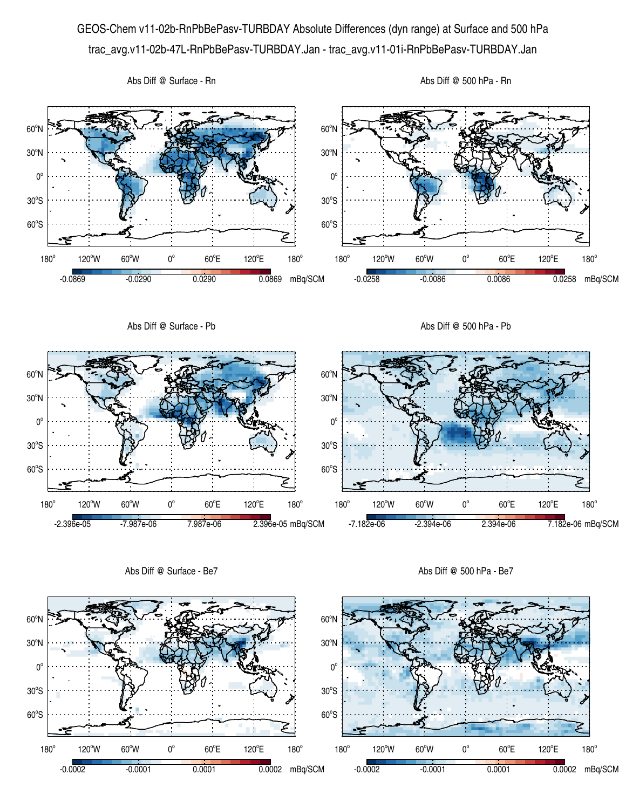## GEOS-Chem v11-02b-RnPbBePasv-TURBDAY Absolute Differences (dyn range) at Surface and 500 hPa trac\_avg.v11-02b-47L-RnPbBePasv-TURBDAY.Jan - trac\_avg.v11-01i-RnPbBePasv-TURBDAY.Jan



Abs Diff @ Surface - Be7

Abs Diff @ 500 hPa - Be7